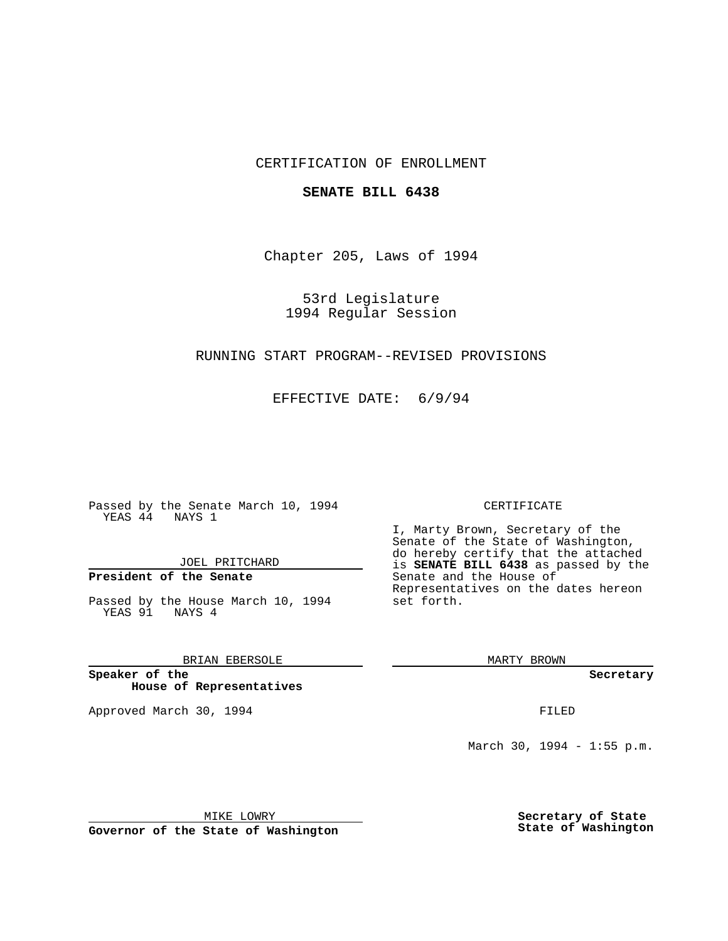# CERTIFICATION OF ENROLLMENT

### **SENATE BILL 6438**

Chapter 205, Laws of 1994

53rd Legislature 1994 Regular Session

### RUNNING START PROGRAM--REVISED PROVISIONS

EFFECTIVE DATE: 6/9/94

Passed by the Senate March 10, 1994 YEAS 44 NAYS 1

JOEL PRITCHARD

# **President of the Senate**

Passed by the House March 10, 1994 YEAS 91 NAYS 4

## BRIAN EBERSOLE

**Speaker of the House of Representatives**

Approved March 30, 1994 **FILED** 

#### CERTIFICATE

I, Marty Brown, Secretary of the Senate of the State of Washington, do hereby certify that the attached is **SENATE BILL 6438** as passed by the Senate and the House of Representatives on the dates hereon set forth.

MARTY BROWN

**Secretary**

March 30, 1994 - 1:55 p.m.

MIKE LOWRY **Governor of the State of Washington** **Secretary of State State of Washington**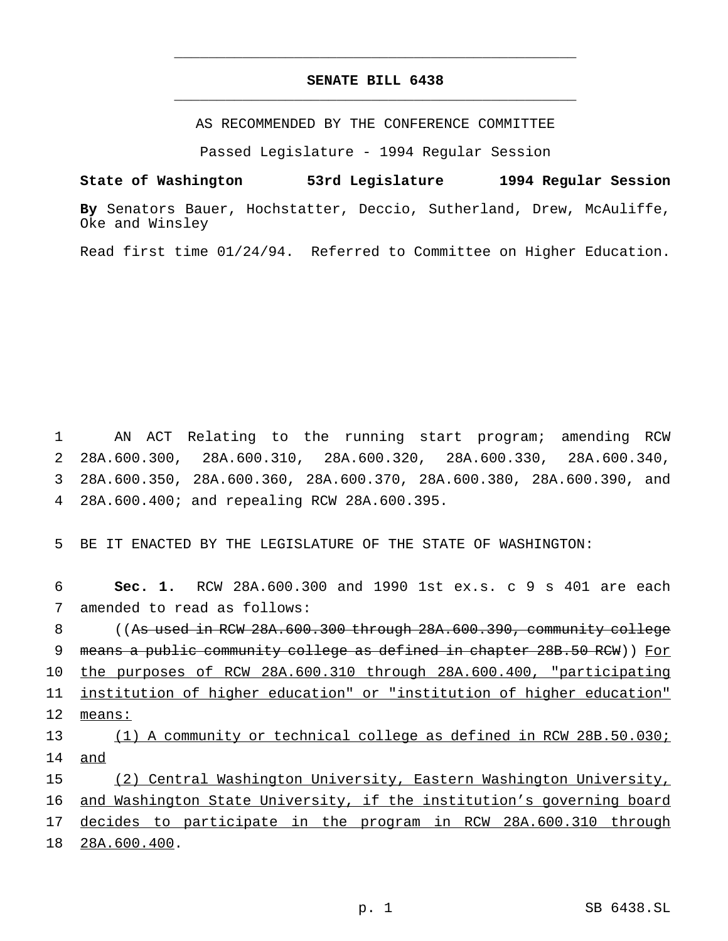# **SENATE BILL 6438** \_\_\_\_\_\_\_\_\_\_\_\_\_\_\_\_\_\_\_\_\_\_\_\_\_\_\_\_\_\_\_\_\_\_\_\_\_\_\_\_\_\_\_\_\_\_\_

\_\_\_\_\_\_\_\_\_\_\_\_\_\_\_\_\_\_\_\_\_\_\_\_\_\_\_\_\_\_\_\_\_\_\_\_\_\_\_\_\_\_\_\_\_\_\_

AS RECOMMENDED BY THE CONFERENCE COMMITTEE

Passed Legislature - 1994 Regular Session

#### **State of Washington 53rd Legislature 1994 Regular Session**

**By** Senators Bauer, Hochstatter, Deccio, Sutherland, Drew, McAuliffe, Oke and Winsley

Read first time 01/24/94. Referred to Committee on Higher Education.

 AN ACT Relating to the running start program; amending RCW 28A.600.300, 28A.600.310, 28A.600.320, 28A.600.330, 28A.600.340, 28A.600.350, 28A.600.360, 28A.600.370, 28A.600.380, 28A.600.390, and 28A.600.400; and repealing RCW 28A.600.395.

5 BE IT ENACTED BY THE LEGISLATURE OF THE STATE OF WASHINGTON:

6 **Sec. 1.** RCW 28A.600.300 and 1990 1st ex.s. c 9 s 401 are each 7 amended to read as follows:

8 ((As used in RCW 28A.600.300 through 28A.600.390, community college 9 means a public community college as defined in chapter 28B.50 RCW)) For 10 the purposes of RCW 28A.600.310 through 28A.600.400, "participating 11 institution of higher education" or "institution of higher education" 12 means: 13 (1) A community or technical college as defined in RCW 28B.50.030; 14 and

 (2) Central Washington University, Eastern Washington University, and Washington State University, if the institution's governing board 17 decides to participate in the program in RCW 28A.600.310 through 28A.600.400.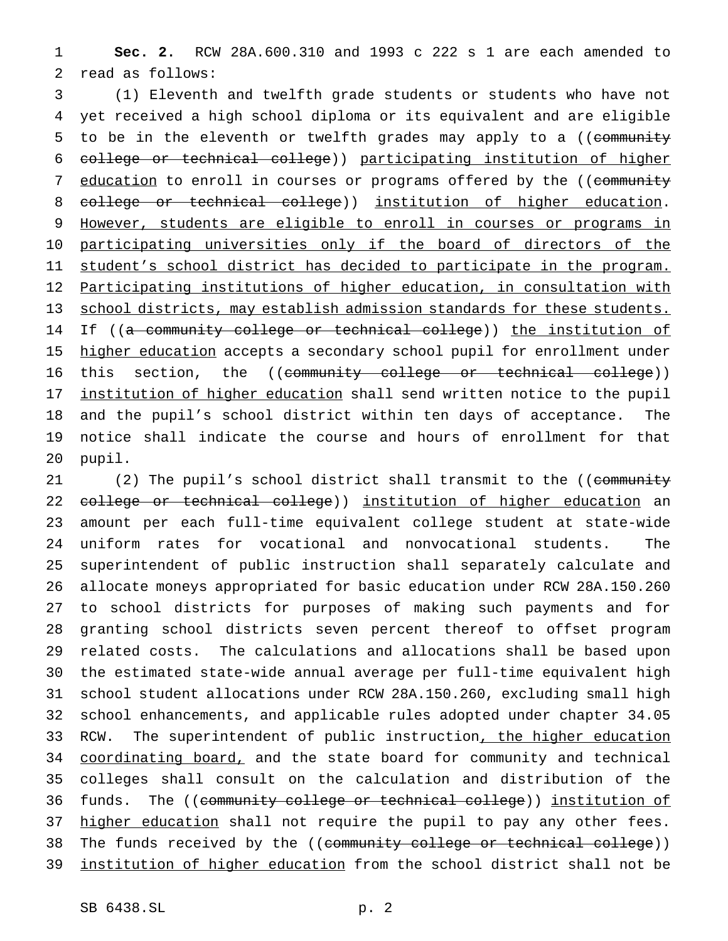1 **Sec. 2.** RCW 28A.600.310 and 1993 c 222 s 1 are each amended to 2 read as follows:

3 (1) Eleventh and twelfth grade students or students who have not 4 yet received a high school diploma or its equivalent and are eligible 5 to be in the eleventh or twelfth grades may apply to a ((community 6 college or technical college)) participating institution of higher 7 education to enroll in courses or programs offered by the ((community 8 college or technical college)) institution of higher education. 9 However, students are eligible to enroll in courses or programs in 10 participating universities only if the board of directors of the 11 student's school district has decided to participate in the program. 12 Participating institutions of higher education, in consultation with 13 school districts, may establish admission standards for these students. 14 If ((a community college or technical college)) the institution of 15 higher education accepts a secondary school pupil for enrollment under 16 this section, the ((community college or technical college)) 17 institution of higher education shall send written notice to the pupil 18 and the pupil's school district within ten days of acceptance. The 19 notice shall indicate the course and hours of enrollment for that 20 pupil.

21 (2) The pupil's school district shall transmit to the ((community 22 college or technical college)) institution of higher education an 23 amount per each full-time equivalent college student at state-wide 24 uniform rates for vocational and nonvocational students. The 25 superintendent of public instruction shall separately calculate and 26 allocate moneys appropriated for basic education under RCW 28A.150.260 27 to school districts for purposes of making such payments and for 28 granting school districts seven percent thereof to offset program 29 related costs. The calculations and allocations shall be based upon 30 the estimated state-wide annual average per full-time equivalent high 31 school student allocations under RCW 28A.150.260, excluding small high 32 school enhancements, and applicable rules adopted under chapter 34.05 33 RCW. The superintendent of public instruction, the higher education 34 coordinating board, and the state board for community and technical 35 colleges shall consult on the calculation and distribution of the 36 funds. The ((community college or technical college)) institution of 37 higher education shall not require the pupil to pay any other fees. 38 The funds received by the ((community college or technical college)) 39 institution of higher education from the school district shall not be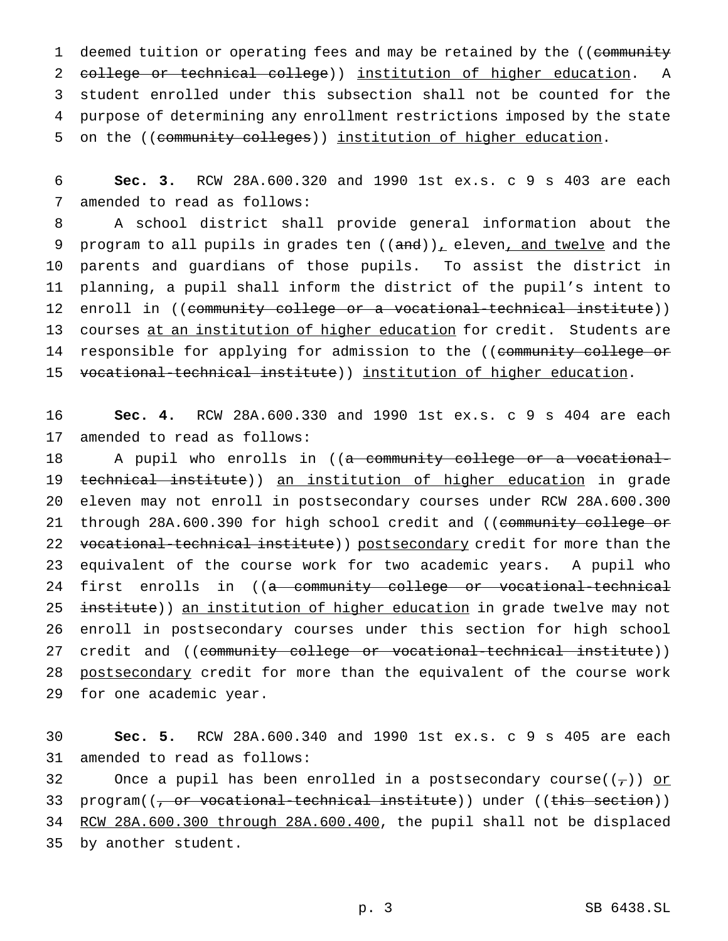1 deemed tuition or operating fees and may be retained by the ((community 2 college or technical college)) institution of higher education. A 3 student enrolled under this subsection shall not be counted for the 4 purpose of determining any enrollment restrictions imposed by the state 5 on the ((community colleges)) institution of higher education.

6 **Sec. 3.** RCW 28A.600.320 and 1990 1st ex.s. c 9 s 403 are each 7 amended to read as follows:

8 A school district shall provide general information about the 9 program to all pupils in grades ten  $((and))_+$  eleven, and twelve and the 10 parents and guardians of those pupils. To assist the district in 11 planning, a pupil shall inform the district of the pupil's intent to 12 enroll in ((community college or a vocational-technical institute)) 13 courses at an institution of higher education for credit. Students are 14 responsible for applying for admission to the ((community college or 15 vocational-technical institute)) institution of higher education.

16 **Sec. 4.** RCW 28A.600.330 and 1990 1st ex.s. c 9 s 404 are each 17 amended to read as follows:

18 A pupil who enrolls in ((a community college or a vocational-19 technical institute)) an institution of higher education in grade 20 eleven may not enroll in postsecondary courses under RCW 28A.600.300 21 through 28A.600.390 for high school credit and ((community college or 22 vocational-technical institute)) postsecondary credit for more than the 23 equivalent of the course work for two academic years. A pupil who 24 first enrolls in ((a community college or vocational-technical 25 institute)) an institution of higher education in grade twelve may not 26 enroll in postsecondary courses under this section for high school 27 credit and ((community college or vocational-technical institute)) 28 postsecondary credit for more than the equivalent of the course work 29 for one academic year.

30 **Sec. 5.** RCW 28A.600.340 and 1990 1st ex.s. c 9 s 405 are each 31 amended to read as follows:

32 Once a pupil has been enrolled in a postsecondary course( $(\tau)$ ) or 33 program((<del>, or vocational-technical institute</del>)) under ((<del>this section</del>)) 34 RCW 28A.600.300 through 28A.600.400, the pupil shall not be displaced 35 by another student.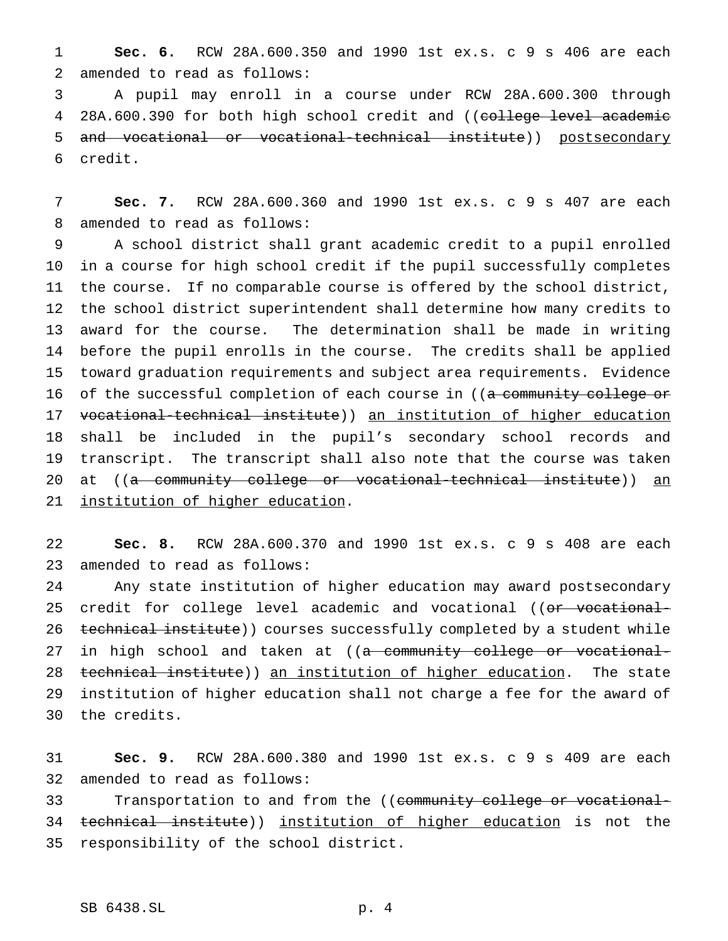**Sec. 6.** RCW 28A.600.350 and 1990 1st ex.s. c 9 s 406 are each amended to read as follows:

 A pupil may enroll in a course under RCW 28A.600.300 through 4 28A.600.390 for both high school credit and ((college level academic and vocational or vocational-technical institute)) postsecondary credit.

 **Sec. 7.** RCW 28A.600.360 and 1990 1st ex.s. c 9 s 407 are each amended to read as follows:

 A school district shall grant academic credit to a pupil enrolled in a course for high school credit if the pupil successfully completes the course. If no comparable course is offered by the school district, the school district superintendent shall determine how many credits to award for the course. The determination shall be made in writing before the pupil enrolls in the course. The credits shall be applied toward graduation requirements and subject area requirements. Evidence 16 of the successful completion of each course in ((a community college or vocational-technical institute)) an institution of higher education shall be included in the pupil's secondary school records and transcript. The transcript shall also note that the course was taken 20 at ((<del>a community college or vocational-technical institute</del>)) an institution of higher education.

 **Sec. 8.** RCW 28A.600.370 and 1990 1st ex.s. c 9 s 408 are each amended to read as follows:

 Any state institution of higher education may award postsecondary 25 credit for college level academic and vocational ((or vocational-26 technical institute)) courses successfully completed by a student while 27 in high school and taken at ((<del>a community college or vocational-</del> 28 technical institute)) an institution of higher education. The state institution of higher education shall not charge a fee for the award of the credits.

 **Sec. 9.** RCW 28A.600.380 and 1990 1st ex.s. c 9 s 409 are each amended to read as follows:

33 Transportation to and from the ((community college or vocational-34 technical institute)) institution of higher education is not the responsibility of the school district.